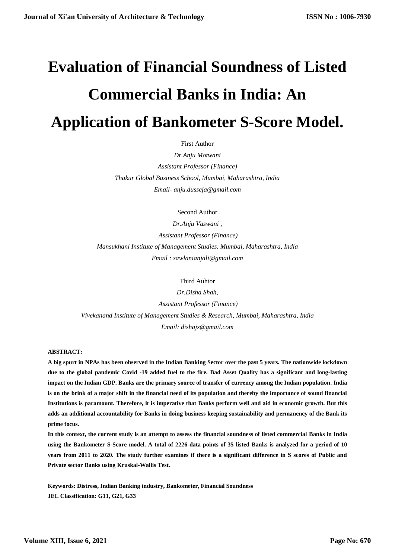# **Evaluation of Financial Soundness of Listed Commercial Banks in India: An Application of Bankometer S-Score Model.**

First Author

*Dr.Anju Motwani Assistant Professor (Finance) Thakur Global Business School, Mumbai, Maharashtra, India Email- anju.dusseja@gmail.com*

Second Author

*Dr.Anju Vaswani , Assistant Professor (Finance) Mansukhani Institute of Management Studies. Mumbai, Maharashtra, India Email : sawlanianjali@gmail.com*

#### Third Auhtor

*Dr.Disha Shah, Assistant Professor (Finance) Vivekanand Institute of Management Studies & Research, Mumbai, Maharashtra, India Email: dishajs@gmail.com*

#### **ABSTRACT:**

**A big spurt in NPAs has been observed in the Indian Banking Sector over the past 5 years. The nationwide lockdown due to the global pandemic Covid -19 added fuel to the fire. Bad Asset Quality has a significant and long-lasting impact on the Indian GDP. Banks are the primary source of transfer of currency among the Indian population. India is on the brink of a major shift in the financial need of its population and thereby the importance of sound financial Institutions is paramount. Therefore, it is imperative that Banks perform well and aid in economic growth. But this adds an additional accountability for Banks in doing business keeping sustainability and permanency of the Bank its prime focus.** 

**In this context, the current study is an attempt to assess the financial soundness of listed commercial Banks in India using the Bankometer S-Score model. A total of 2226 data points of 35 listed Banks is analyzed for a period of 10 years from 2011 to 2020. The study further examines if there is a significant difference in S scores of Public and Private sector Banks using Kruskal-Wallis Test.**

**Keywords: Distress, Indian Banking industry, Bankometer, Financial Soundness JEL Classification: G11, G21, G33**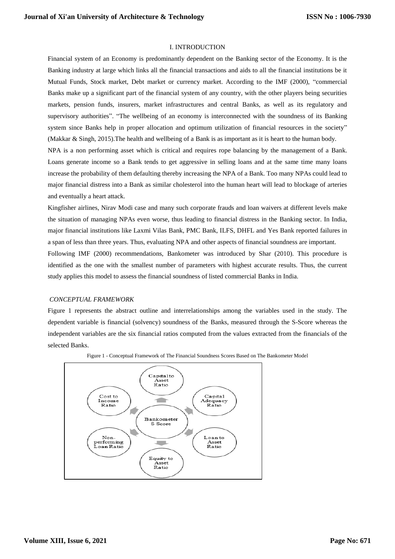# I. INTRODUCTION

Financial system of an Economy is predominantly dependent on the Banking sector of the Economy. It is the Banking industry at large which links all the financial transactions and aids to all the financial institutions be it Mutual Funds, Stock market, Debt market or currency market. According to the IMF (2000), "commercial Banks make up a significant part of the financial system of any country, with the other players being securities markets, pension funds, insurers, market infrastructures and central Banks, as well as its regulatory and supervisory authorities". "The wellbeing of an economy is interconnected with the soundness of its Banking system since Banks help in proper allocation and optimum utilization of financial resources in the society" (Makkar & Singh, 2015).The health and wellbeing of a Bank is as important as it is heart to the human body.

NPA is a non performing asset which is critical and requires rope balancing by the management of a Bank. Loans generate income so a Bank tends to get aggressive in selling loans and at the same time many loans increase the probability of them defaulting thereby increasing the NPA of a Bank. Too many NPAs could lead to major financial distress into a Bank as similar cholesterol into the human heart will lead to blockage of arteries and eventually a heart attack.

Kingfisher airlines, Nirav Modi case and many such corporate frauds and loan waivers at different levels make the situation of managing NPAs even worse, thus leading to financial distress in the Banking sector. In India, major financial institutions like Laxmi Vilas Bank, PMC Bank, ILFS, DHFL and Yes Bank reported failures in a span of less than three years. Thus, evaluating NPA and other aspects of financial soundness are important.

Following IMF (2000) recommendations, Bankometer was introduced by Shar (2010). This procedure is identified as the one with the smallest number of parameters with highest accurate results. Thus, the current study applies this model to assess the financial soundness of listed commercial Banks in India.

#### *CONCEPTUAL FRAMEWORK*

Figure 1 represents the abstract outline and interrelationships among the variables used in the study. The dependent variable is financial (solvency) soundness of the Banks, measured through the S-Score whereas the independent variables are the six financial ratios computed from the values extracted from the financials of the selected Banks.



Figure 1 - Conceptual Framework of The Financial Soundness Scores Based on The Bankometer Model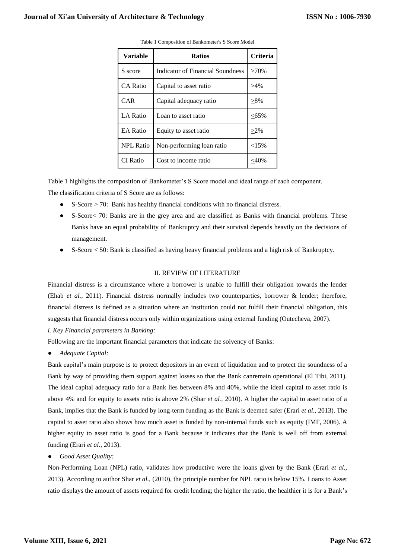| <b>Variable</b>  | <b>Ratios</b>                    | <b>Criteria</b> |
|------------------|----------------------------------|-----------------|
| S score          | Indicator of Financial Soundness | $>70\%$         |
| <b>CA Ratio</b>  | Capital to asset ratio           | $>4\%$          |
| <b>CAR</b>       | Capital adequacy ratio           | $>8\%$          |
| LA Ratio         | Loan to asset ratio              | $<$ 65%         |
| <b>EA Ratio</b>  | Equity to asset ratio            | $>2\%$          |
| <b>NPL Ratio</b> | Non-performing loan ratio        | <15%            |
| CI Ratio         | Cost to income ratio             | $<$ 40%         |

Table 1 Composition of Bankometer's S Score Model

Table 1 highlights the composition of Bankometer's S Score model and ideal range of each component. The classification criteria of S Score are as follows:

- S-Score > 70: Bank has healthy financial conditions with no financial distress.
- S-Score< 70: Banks are in the grey area and are classified as Banks with financial problems. These Banks have an equal probability of Bankruptcy and their survival depends heavily on the decisions of management.
- S-Score < 50: Bank is classified as having heavy financial problems and a high risk of Bankruptcy.

## II. REVIEW OF LITERATURE

Financial distress is a circumstance where a borrower is unable to fulfill their obligation towards the lender (Ehab *et al.,* 2011). Financial distress normally includes two counterparties, borrower & lender; therefore, financial distress is defined as a situation where an institution could not fulfill their financial obligation, this suggests that financial distress occurs only within organizations using external funding (Outecheva, 2007).

*i. Key Financial parameters in Banking:*

Following are the important financial parameters that indicate the solvency of Banks:

● *Adequate Capital:*

Bank capital's main purpose is to protect depositors in an event of liquidation and to protect the soundness of a Bank by way of providing them support against losses so that the Bank canremain operational (El Tibi, 2011). The ideal capital adequacy ratio for a Bank lies between 8% and 40%, while the ideal capital to asset ratio is above 4% and for equity to assets ratio is above 2% (Shar *et al.,* 2010). A higher the capital to asset ratio of a Bank, implies that the Bank is funded by long-term funding as the Bank is deemed safer (Erari *et al.*, 2013). The capital to asset ratio also shows how much asset is funded by non-internal funds such as equity (IMF, 2006). A higher equity to asset ratio is good for a Bank because it indicates that the Bank is well off from external funding (Erari *et al.,* 2013).

● *Good Asset Quality:*

Non-Performing Loan (NPL) ratio, validates how productive were the loans given by the Bank (Erari *et al.,*  2013). According to author Shar *et al.,* (2010), the principle number for NPL ratio is below 15%. Loans to Asset ratio displays the amount of assets required for credit lending; the higher the ratio, the healthier it is for a Bank's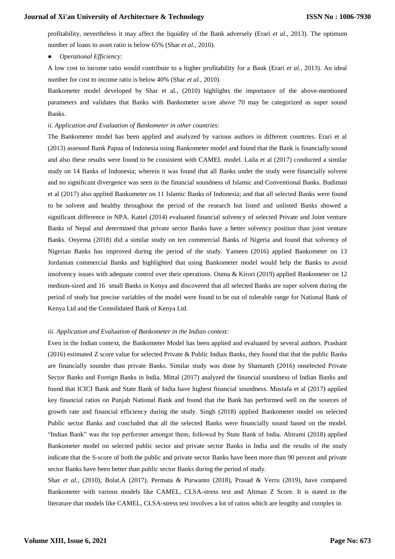profitability, nevertheless it may affect the liquidity of the Bank adversely (Erari *et al.*, 2013). The optimum number of loans to asset ratio is below 65% (Shar *et al.,* 2010).

● *Operational Efficiency*:

A low cost to income ratio would contribute to a higher profitability for a Bank (Erari *et al.*, 2013). An ideal number for cost to income ratio is below 40% (Shar *et al.,* 2010).

Bankometer model developed by Shar et al., (2010) highlights the importance of the above-mentioned parameters and validates that Banks with Bankometer score above 70 may be categorized as super sound Banks.

#### *ii. Application and Evaluation of Bankometer in other countries:*

The Bankometer model has been applied and analyzed by various authors in different countries. Erari et al (2013) assessed Bank Papua of Indonesia using Bankometer model and found that the Bank is financially sound and also these results were found to be consistent with CAMEL model. Laila et al (2017) conducted a similar study on 14 Banks of Indonesia; wherein it was found that all Banks under the study were financially solvent and no significant divergence was seen in the financial soundness of Islamic and Conventional Banks. Budiman et al (2017) also applied Bankometer on 11 Islamic Banks of Indonesia; and that all selected Banks were found to be solvent and healthy throughout the period of the research but listed and unlisted Banks showed a significant difference in NPA. Kattel (2014) evaluated financial solvency of selected Private and Joint venture Banks of Nepal and determined that private sector Banks have a better solvency position than joint venture Banks. Onyema (2018) did a similar study on ten commercial Banks of Nigeria and found that solvency of Nigerian Banks has improved during the period of the study. Yameen (2016) applied Bankometer on 13 Jordanian commercial Banks and highlighted that using Bankometer model would help the Banks to avoid insolvency issues with adequate control over their operations. Ouma & Kirori (2019) applied Bankometer on 12 medium-sized and 16 small Banks in Kenya and discovered that all selected Banks are super solvent during the period of study but precise variables of the model were found to be out of tolerable range for National Bank of Kenya Ltd and the Consolidated Bank of Kenya Ltd.

## *iii. Application and Evaluation of Bankometer in the Indian context:*

Even in the Indian context, the Bankometer Model has been applied and evaluated by several authors. Prashant (2016) estimated Z score value for selected Private & Public Indian Banks, they found that that the public Banks are financially sounder than private Banks. Similar study was done by Shamanth (2016) onselected Private Sector Banks and Foreign Banks in India. Mittal (2017) analyzed the financial soundness of Indian Banks and found that ICICI Bank and State Bank of India have highest financial soundness. Mustafa et al (2017) applied key financial ratios on Punjab National Bank and found that the Bank has performed well on the sources of growth rate and financial efficiency during the study. Singh (2018) applied Bankometer model on selected Public sector Banks and concluded that all the selected Banks were financially sound based on the model. "Indian Bank" was the top performer amongst them, followed by State Bank of India. Abirami (2018) applied Bankometer model on selected public sector and private sector Banks in India and the results of the study indicate that the S-score of both the public and private sector Banks have been more than 90 percent and private sector Banks have been better than public sector Banks during the period of study.

Shar *et al*., (2010), Bolat.A (2017), Permata & Purwanto (2018), Prasad & Verru (2019), have compared Bankometer with various models like CAMEL, CLSA-stress test and Altman Z Score. It is stated in the literature that models like CAMEL, CLSA-stress test involves a lot of ratios which are lengthy and complex in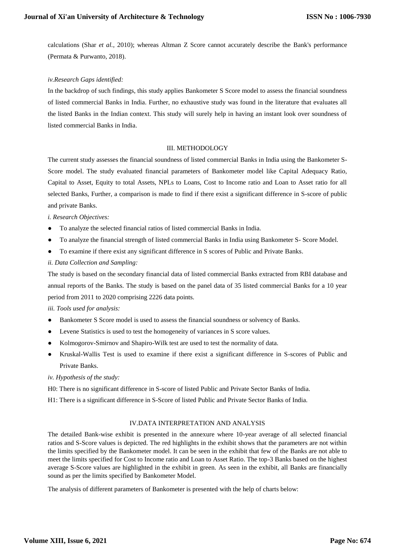calculations (Shar *et al.*, 2010); whereas Altman Z Score cannot accurately describe the Bank's performance (Permata & Purwanto, 2018).

# *iv.Research Gaps identified:*

In the backdrop of such findings, this study applies Bankometer S Score model to assess the financial soundness of listed commercial Banks in India. Further, no exhaustive study was found in the literature that evaluates all the listed Banks in the Indian context. This study will surely help in having an instant look over soundness of listed commercial Banks in India.

## III. METHODOLOGY

The current study assesses the financial soundness of listed commercial Banks in India using the Bankometer S-Score model. The study evaluated financial parameters of Bankometer model like Capital Adequacy Ratio, Capital to Asset, Equity to total Assets, NPLs to Loans, Cost to Income ratio and Loan to Asset ratio for all selected Banks, Further, a comparison is made to find if there exist a significant difference in S-score of public and private Banks.

# *i. Research Objectives:*

- To analyze the selected financial ratios of listed commercial Banks in India.
- To analyze the financial strength of listed commercial Banks in India using Bankometer S- Score Model.
- To examine if there exist any significant difference in S scores of Public and Private Banks.

# *ii. Data Collection and Sampling:*

The study is based on the secondary financial data of listed commercial Banks extracted from RBI database and annual reports of the Banks. The study is based on the panel data of 35 listed commercial Banks for a 10 year period from 2011 to 2020 comprising 2226 data points.

## *iii. Tools used for analysis:*

- Bankometer S Score model is used to assess the financial soundness or solvency of Banks.
- Levene Statistics is used to test the homogeneity of variances in S score values.
- Kolmogorov-Smirnov and Shapiro-Wilk test are used to test the normality of data.
- Kruskal-Wallis Test is used to examine if there exist a significant difference in S-scores of Public and Private Banks.

*iv. Hypothesis of the study:*

H0: There is no significant difference in S-score of listed Public and Private Sector Banks of India.

H1: There is a significant difference in S-Score of listed Public and Private Sector Banks of India.

## IV.DATA INTERPRETATION AND ANALYSIS

The detailed Bank-wise exhibit is presented in the annexure where 10-year average of all selected financial ratios and S-Score values is depicted. The red highlights in the exhibit shows that the parameters are not within the limits specified by the Bankometer model. It can be seen in the exhibit that few of the Banks are not able to meet the limits specified for Cost to Income ratio and Loan to Asset Ratio. The top-3 Banks based on the highest average S-Score values are highlighted in the exhibit in green. As seen in the exhibit, all Banks are financially sound as per the limits specified by Bankometer Model.

The analysis of different parameters of Bankometer is presented with the help of charts below: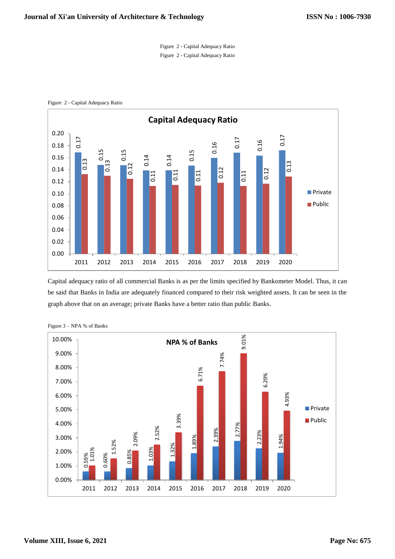



Figure 2 - Capital Adequacy Ratio

Capital adequacy ratio of all commercial Banks is as per the limits specified by Bankometer Model. Thus, it can be said that Banks in India are adequately financed compared to their risk weighted assets. It can be seen in the graph above that on an average; private Banks have a better ratio than public Banks.

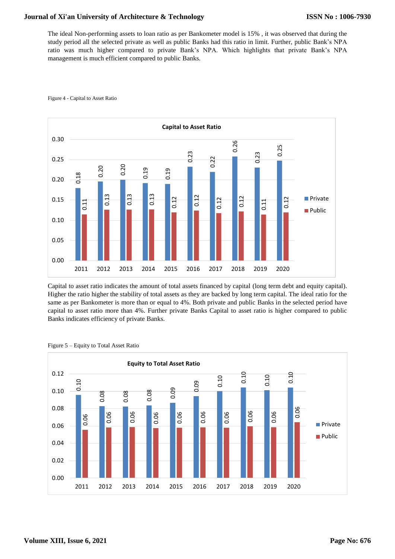The ideal Non-performing assets to loan ratio as per Bankometer model is 15% , it was observed that during the study period all the selected private as well as public Banks had this ratio in limit. Further, public Bank's NPA ratio was much higher compared to private Bank's NPA. Which highlights that private Bank's NPA management is much efficient compared to public Banks.



#### Figure 4 - Capital to Asset Ratio

Capital to asset ratio indicates the amount of total assets financed by capital (long term debt and equity capital). Higher the ratio higher the stability of total assets as they are backed by long term capital. The ideal ratio for the same as per Bankometer is more than or equal to 4%. Both private and public Banks in the selected period have capital to asset ratio more than 4%. Further private Banks Capital to asset ratio is higher compared to public Banks indicates efficiency of private Banks.

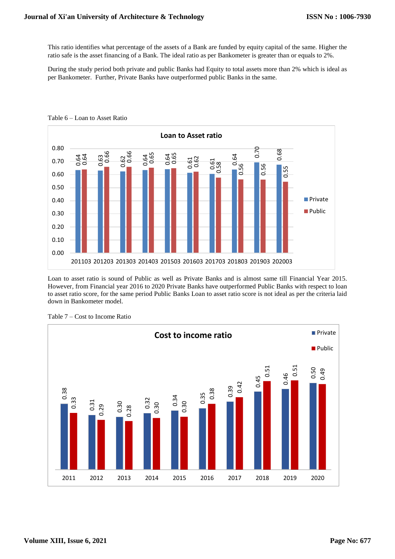This ratio identifies what percentage of the assets of a Bank are funded by equity capital of the same. Higher the ratio safe is the asset financing of a Bank. The ideal ratio as per Bankometer is greater than or equals to 2%.

During the study period both private and public Banks had Equity to total assets more than 2% which is ideal as per Bankometer. Further, Private Banks have outperformed public Banks in the same.



Table 6 – Loan to Asset Ratio

Loan to asset ratio is sound of Public as well as Private Banks and is almost same till Financial Year 2015. However, from Financial year 2016 to 2020 Private Banks have outperformed Public Banks with respect to loan to asset ratio score, for the same period Public Banks Loan to asset ratio score is not ideal as per the criteria laid down in Bankometer model.

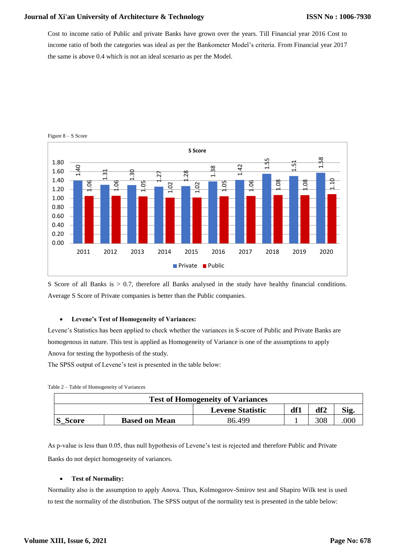Cost to income ratio of Public and private Banks have grown over the years. Till Financial year 2016 Cost to income ratio of both the categories was ideal as per the Bankometer Model's criteria. From Financial year 2017 the same is above 0.4 which is not an ideal scenario as per the Model.



Figure 8 – S Score

S Score of all Banks is  $> 0.7$ , therefore all Banks analysed in the study have healthy financial conditions. Average S Score of Private companies is better than the Public companies.

### **Levene's Test of Homogeneity of Variances:**

Levene's Statistics has been applied to check whether the variances in S-score of Public and Private Banks are homogenous in nature. This test is applied as Homogeneity of Variance is one of the assumptions to apply Anova for testing the hypothesis of the study.

The SPSS output of Levene's test is presented in the table below:

| <b>Test of Homogeneity of Variances</b> |                      |                         |     |     |      |  |  |
|-----------------------------------------|----------------------|-------------------------|-----|-----|------|--|--|
|                                         |                      | <b>Levene Statistic</b> | df1 | df2 | Sig. |  |  |
| S_Score                                 | <b>Based on Mean</b> | 86.499                  |     |     | 000  |  |  |

As p-value is less than 0.05, thus null hypothesis of Levene's test is rejected and therefore Public and Private Banks do not depict homogeneity of variances.

#### **Test of Normality:**

Normality also is the assumption to apply Anova. Thus, Kolmogorov-Smirov test and Shapiro Wilk test is used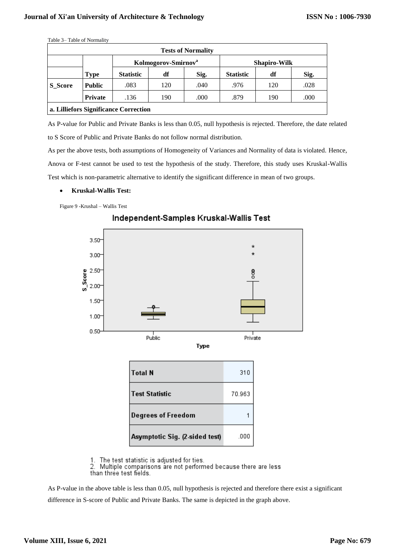|                | Table 3– Table of Normality |                                       |     |                           |                     |     |      |  |
|----------------|-----------------------------|---------------------------------------|-----|---------------------------|---------------------|-----|------|--|
|                |                             |                                       |     | <b>Tests of Normality</b> |                     |     |      |  |
|                |                             | Kolmogorov-Smirnov <sup>a</sup>       |     |                           | <b>Shapiro-Wilk</b> |     |      |  |
|                | <b>Type</b>                 | <b>Statistic</b>                      | df  | Sig.                      | <b>Statistic</b>    | df  | Sig. |  |
| <b>S</b> Score | <b>Public</b>               | .083                                  | 120 | .040                      | .976                | 120 | .028 |  |
|                | <b>Private</b>              | .136                                  | 190 | .000                      | .879                | 190 | .000 |  |
|                |                             | a. Lilliefors Significance Correction |     |                           |                     |     |      |  |

As P-value for Public and Private Banks is less than 0.05, null hypothesis is rejected. Therefore, the date related to S Score of Public and Private Banks do not follow normal distribution.

As per the above tests, both assumptions of Homogeneity of Variances and Normality of data is violated. Hence, Anova or F-test cannot be used to test the hypothesis of the study. Therefore, this study uses Kruskal-Wallis Test which is non-parametric alternative to identify the significant difference in mean of two groups.

**Kruskal-Wallis Test:**

Figure 9 -Krushal – Wallis Test



Independent-Samples Kruskal-Wallis Test

1. The test statistic is adjusted for ties.

Multiple comparisons are not performed because there are less 2. than three test fields.

As P-value in the above table is less than 0.05, null hypothesis is rejected and therefore there exist a significant difference in S-score of Public and Private Banks. The same is depicted in the graph above.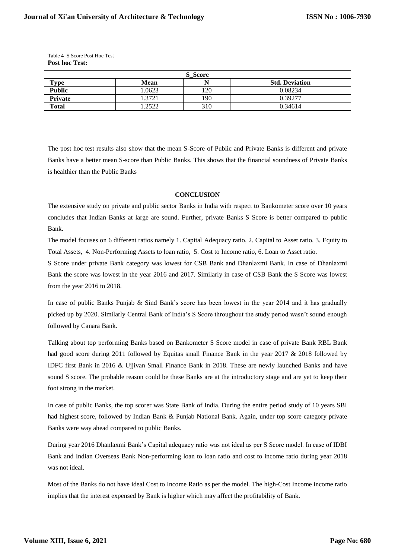| Table 4–S Score Post Hoc Test |
|-------------------------------|
| <b>Post hoc Test:</b>         |

| S Score                   |       |           |                       |  |  |  |
|---------------------------|-------|-----------|-----------------------|--|--|--|
| $\mathbf{T}_{\mathbf{V}}$ | Mean  |           | <b>Std. Deviation</b> |  |  |  |
| <b>Public</b>             | .0623 | <b>20</b> | 0.08234               |  |  |  |
| Private                   | .3721 | 190       | 0.39277               |  |  |  |
| <b>Total</b>              | .2522 | 310       | 0.34614               |  |  |  |

The post hoc test results also show that the mean S-Score of Public and Private Banks is different and private Banks have a better mean S-score than Public Banks. This shows that the financial soundness of Private Banks is healthier than the Public Banks

#### **CONCLUSION**

The extensive study on private and public sector Banks in India with respect to Bankometer score over 10 years concludes that Indian Banks at large are sound. Further, private Banks S Score is better compared to public Bank.

The model focuses on 6 different ratios namely 1. Capital Adequacy ratio, 2. Capital to Asset ratio, 3. Equity to Total Assets, 4. Non-Performing Assets to loan ratio, 5. Cost to Income ratio, 6. Loan to Asset ratio.

S Score under private Bank category was lowest for CSB Bank and Dhanlaxmi Bank. In case of Dhanlaxmi Bank the score was lowest in the year 2016 and 2017. Similarly in case of CSB Bank the S Score was lowest from the year 2016 to 2018.

In case of public Banks Punjab & Sind Bank's score has been lowest in the year 2014 and it has gradually picked up by 2020. Similarly Central Bank of India's S Score throughout the study period wasn't sound enough followed by Canara Bank.

Talking about top performing Banks based on Bankometer S Score model in case of private Bank RBL Bank had good score during 2011 followed by Equitas small Finance Bank in the year 2017 & 2018 followed by IDFC first Bank in 2016 & Ujjivan Small Finance Bank in 2018. These are newly launched Banks and have sound S score. The probable reason could be these Banks are at the introductory stage and are yet to keep their foot strong in the market.

In case of public Banks, the top scorer was State Bank of India. During the entire period study of 10 years SBI had highest score, followed by Indian Bank & Punjab National Bank. Again, under top score category private Banks were way ahead compared to public Banks.

During year 2016 Dhanlaxmi Bank's Capital adequacy ratio was not ideal as per S Score model. In case of IDBI Bank and Indian Overseas Bank Non-performing loan to loan ratio and cost to income ratio during year 2018 was not ideal.

Most of the Banks do not have ideal Cost to Income Ratio as per the model. The high-Cost Income income ratio implies that the interest expensed by Bank is higher which may affect the profitability of Bank.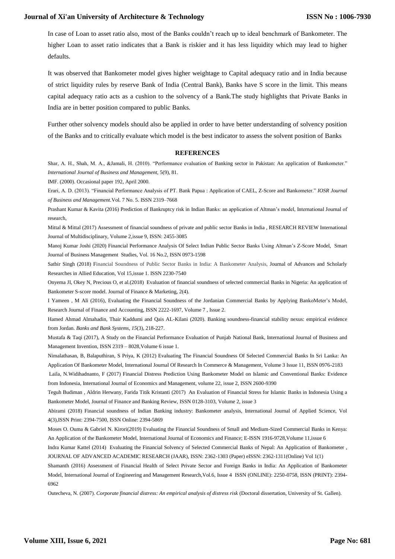In case of Loan to asset ratio also, most of the Banks couldn't reach up to ideal benchmark of Bankometer. The higher Loan to asset ratio indicates that a Bank is riskier and it has less liquidity which may lead to higher defaults.

It was observed that Bankometer model gives higher weightage to Capital adequacy ratio and in India because of strict liquidity rules by reserve Bank of India (Central Bank), Banks have S score in the limit. This means capital adequacy ratio acts as a cushion to the solvency of a Bank.The study highlights that Private Banks in India are in better position compared to public Banks.

Further other solvency models should also be applied in order to have better understanding of solvency position of the Banks and to critically evaluate which model is the best indicator to assess the solvent position of Banks

#### **REFERENCES**

Shar, A. H., Shah, M. A., &Jamali, H. (2010). "Performance evaluation of Banking sector in Pakistan: An application of Bankometer." *International Journal of Business and Management,* 5(9), 81.

IMF. (2000). Occasional paper 192, April 2000.

Erari, A. D. (2013). "Financial Performance Analysis of PT. Bank Papua : Application of CAEL, Z-Score and Bankometer." *IOSR Journal of Business and Management.*Vol. 7 No. 5. ISSN 2319–7668

Prashant Kumar & Kavita (2016) Prediction of Bankruptcy risk in Indian Banks: an application of Altman's model, International Journal of research,

Mittal & Mittal (2017) Assessment of financial soundness of private and public sector Banks in India , RESEARCH REVIEW International Journal of Multidisciplinary, Volume 2,issue 9, ISSN: 2455-3085

Manoj Kumar Joshi (2020) Financial Performance Analysis Of Select Indian Public Sector Banks Using Altman's Z-Score Model, Smart Journal of Business Management Studies, Vol. 16 No.2, ISSN 0973-1598

Satbir Singh (2018) Financial Soundness of Public Sector Banks in India: A Bankometer Analysis, Journal of Advances and Scholarly Researches in Allied Education, Vol 15,issue 1. ISSN 2230-7540

Onyema JI, Okey N, Precious O, et al.(2018) Evaluation of financial soundness of selected commercial Banks in Nigeria: An application of Bankometer S-score model. Journal of Finance & Marketing, 2(4).

I Yameen , M Ali (2016), Evaluating the Financial Soundness of the Jordanian Commercial Banks by Applying BankoMeter's Model, Research Journal of Finance and Accounting, ISSN 2222-1697, Volume 7 , Issue 2.

Hamed Ahmad Almahadin, Thair Kaddumi and Qais AL-Kilani (2020). Banking soundness-financial stability nexus: empirical evidence from Jordan. *Banks and Bank Systems*, *15*(3), 218-227.

Mustafa & Taqi (2017), A Study on the Financial Performance Evaluation of Punjab National Bank, International Journal of Business and Management Invention, ISSN 2319 – 8028,Volume 6 issue 1.

Nimalathasan, B, Balaputhiran, S Priya, K (2012) Evaluating The Financial Soundness Of Selected Commercial Banks In Sri Lanka: An Application Of Bankometer Model, International Journal Of Research In Commerce & Management, Volume 3 Issue 11, ISSN 0976-2183

Laila, N.Widihadnanto, F (2017) Financial Distress Prediction Using Bankometer Model on Islamic and Conventional Banks: Evidence from Indonesia, International Journal of Economics and Management, volume 22, issue 2, ISSN 2600-9390

Teguh Budiman , Aldrin Herwany, Farida Titik Kristanti (2017) An Evaluation of Financial Stress for Islamic Banks in Indonesia Using a Bankometer Model, Journal of Finance and Banking Review, ISSN 0128-3103, Volume 2, issue 3

Abirami (2018) Financial soundness of Indian Banking industry: Bankometer analysis, International Journal of Applied Science, Vol 4(3),ISSN Print: 2394-7500, ISSN Online: 2394-5869

Moses O. Ouma & Gabriel N. Kirori(2019) Evaluating the Financial Soundness of Small and Medium-Sized Commercial Banks in Kenya: An Application of the Bankometer Model, International Journal of Economics and Finance; E-ISSN 1916-9728,Volume 11,issue 6

Indra Kumar Kattel (2014) Evaluating the Financial Solvency of Selected Commercial Banks of Nepal: An Application of Bankometer , JOURNAL OF ADVANCED ACADEMIC RESEARCH (JAAR), ISSN: 2362-1303 (Paper) eISSN: 2362-1311(Online) Vol 1(1)

Shamanth (2016) Assessment of Financial Health of Select Private Sector and Foreign Banks in India: An Application of Bankometer Model, International Journal of Engineering and Management Research,Vol.6, Issue 4 ISSN (ONLINE): 2250-0758, ISSN (PRINT): 2394- 6962

Outecheva, N. (2007). *Corporate financial distress: An empirical analysis of distress risk* (Doctoral dissertation, University of St. Gallen).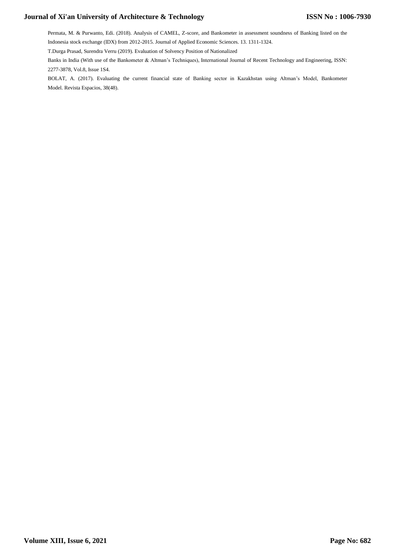Permata, M. & Purwanto, Edi. (2018). Analysis of CAMEL, Z-score, and Bankometer in assessment soundness of Banking listed on the Indonesia stock exchange (IDX) from 2012-2015. Journal of Applied Economic Sciences. 13. 1311-1324.

T.Durga Prasad, Surendra Verru (2019). Evaluation of Solvency Position of Nationalized

Banks in India (With use of the Bankometer & Altman's Techniques), International Journal of Recent Technology and Engineering, ISSN: 2277-3878, Vol.8, Issue 1S4.

BOLAT, A. (2017). Evaluating the current financial state of Banking sector in Kazakhstan using Altman's Model, Bankometer Model. Revista Espacios, 38(48).